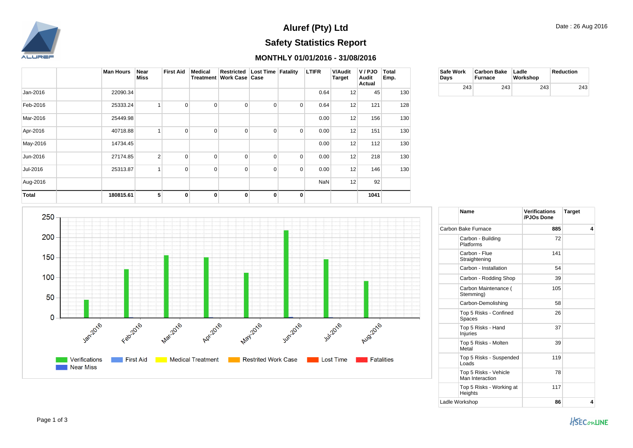

# **Safety Statistics Report Aluref (Pty) Ltd**

### **MONTHLY 01/01/2016 - 31/08/2016**

|          | <b>Man Hours</b> | Near<br>Miss            | <b>First Aid</b> | <b>Medical</b><br>Treatment | Restricted<br>Work Case Case | <b>Lost Time Fatality</b> |                | <b>LTIFR</b> | <b>V/Audit</b><br>Target | V/PJO<br>Audit<br>Actual | Total<br>Emp. |
|----------|------------------|-------------------------|------------------|-----------------------------|------------------------------|---------------------------|----------------|--------------|--------------------------|--------------------------|---------------|
| Jan-2016 | 22090.34         |                         |                  |                             |                              |                           |                | 0.64         | 12                       | 45                       | 130           |
| Feb-2016 | 25333.24         | $\overline{\mathbf{A}}$ | 0                | 0                           | 0                            | 0                         | $\overline{0}$ | 0.64         | 12                       | 121                      | 128           |
| Mar-2016 | 25449.98         |                         |                  |                             |                              |                           |                | 0.00         | 12                       | 156                      | 130           |
| Apr-2016 | 40718.88         | 1                       | 0                | 0                           | 0                            | 0                         | 0              | 0.00         | 12                       | 151                      | 130           |
| May-2016 | 14734.45         |                         |                  |                             |                              |                           |                | 0.00         | 12                       | 112                      | 130           |
| Jun-2016 | 27174.85         | $\overline{2}$          | 0                | 0                           | 0                            | 0                         | 0              | 0.00         | 12                       | 218                      | 130           |
| Jul-2016 | 25313.87         | 1                       | $\mathbf 0$      | $\mathbf 0$                 | $\mathbf 0$                  | 0                         | $\overline{0}$ | 0.00         | 12                       | 146                      | 130           |
| Aug-2016 |                  |                         |                  |                             |                              |                           |                | NaN          | 12                       | 92                       |               |
| Total    | 180815.61        | 5                       | 0                | $\bf{0}$                    | 0                            | $\bf{0}$                  | 0              |              |                          | 1041                     |               |

| <b>Safe Work</b><br>Davs | Carbon Bake Ladle<br><b>Furnace</b> | Workshop | <b>Reduction</b> |  |
|--------------------------|-------------------------------------|----------|------------------|--|
| 243                      | 243                                 | 243      | 243              |  |



| <b>Name</b>                              | Verifications<br>/PJOs Done | <b>Target</b> |
|------------------------------------------|-----------------------------|---------------|
| Carbon Bake Eurnace                      | 885                         | 4             |
| Carbon - Building<br>Platforms           | 72                          |               |
| Carbon - Flue<br>Straightening           | 141                         |               |
| Carbon - Installation                    | 54                          |               |
| Carbon - Rodding Shop                    | 39                          |               |
| Carbon Maintenance (<br>Stemming)        | 105                         |               |
| Carbon-Demolishing                       | 58                          |               |
| Top 5 Risks - Confined<br>Spaces         | 26                          |               |
| Top 5 Risks - Hand<br><b>Injuries</b>    | 37                          |               |
| Top 5 Risks - Molten<br>Metal            | 39                          |               |
| Top 5 Risks - Suspended<br>Loads         | 119                         |               |
| Top 5 Risks - Vehicle<br>Man Interaction | 78                          |               |
| Top 5 Risks - Working at<br>Heights      | 117                         |               |
| Ladle Workshop                           | 86                          | 4             |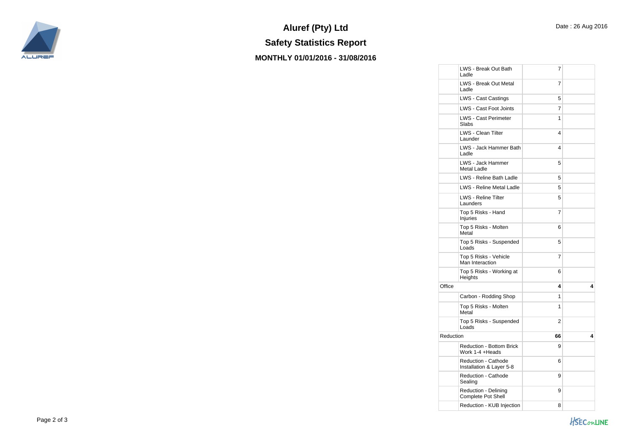

## **Safety Statistics Report**

**Aluref (Pty) Ltd**

## **MONTHLY 01/01/2016 - 31/08/2016**

|           | LWS - Break Out Bath<br>Ladle                      | 7  |   |
|-----------|----------------------------------------------------|----|---|
|           | <b>LWS - Break Out Metal</b><br>Ladle              | 7  |   |
|           | <b>LWS - Cast Castings</b>                         | 5  |   |
|           | <b>LWS - Cast Foot Joints</b>                      | 7  |   |
|           | <b>LWS - Cast Perimeter</b><br>Slabs               | 1  |   |
|           | <b>LWS - Clean Tilter</b><br>Launder               | 4  |   |
|           | LWS - Jack Hammer Bath<br>Ladle                    | 4  |   |
|           | LWS - Jack Hammer<br><b>Metal Ladle</b>            | 5  |   |
|           | LWS - Reline Bath Ladle                            | 5  |   |
|           | <b>LWS - Reline Metal Ladle</b>                    | 5  |   |
|           | <b>LWS - Reline Tilter</b><br>Launders             | 5  |   |
|           | Top 5 Risks - Hand<br>Injuries                     | 7  |   |
|           | Top 5 Risks - Molten<br>Metal                      | 6  |   |
|           | Top 5 Risks - Suspended<br>Loads                   | 5  |   |
|           | Top 5 Risks - Vehicle<br>Man Interaction           | 7  |   |
|           | Top 5 Risks - Working at<br>Heights                | 6  |   |
| Office    |                                                    | 4  | 4 |
|           | Carbon - Rodding Shop                              | 1  |   |
|           | Top 5 Risks - Molten<br>Metal                      | 1  |   |
|           | Top 5 Risks - Suspended<br>Loads                   | 2  |   |
| Reduction |                                                    | 66 | 4 |
|           | <b>Reduction - Bottom Brick</b><br>Work 1-4 +Heads | 9  |   |
|           | Reduction - Cathode<br>Installation & Layer 5-8    | 6  |   |
|           | Reduction - Cathode<br>Sealing                     | 9  |   |
|           | Reduction - Delining<br>Complete Pot Shell         | 9  |   |
|           | Reduction - KUB Injection                          | 8  |   |